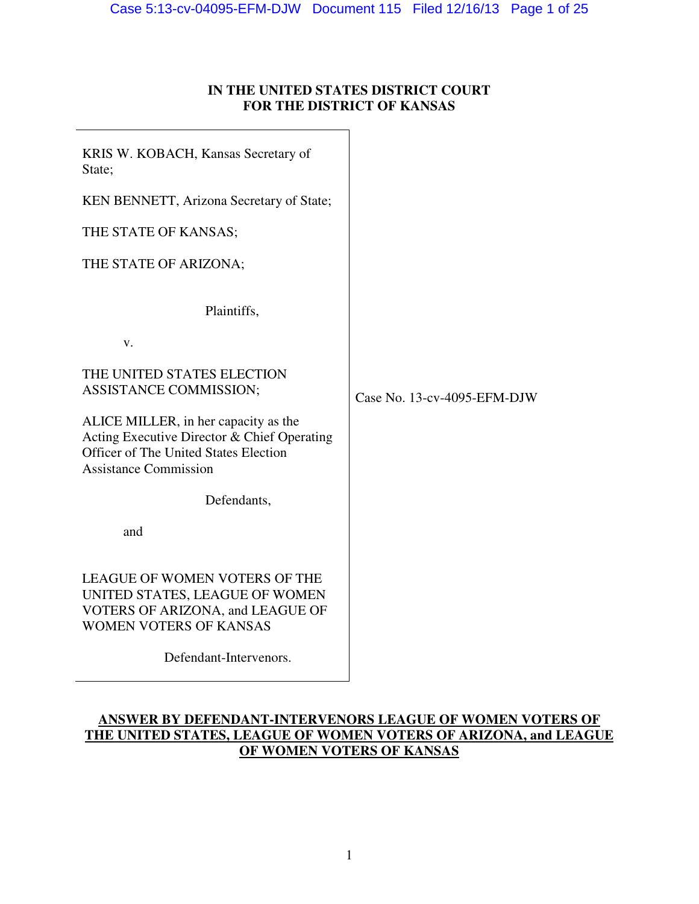# **IN THE UNITED STATES DISTRICT COURT FOR THE DISTRICT OF KANSAS**

KRIS W. KOBACH, Kansas Secretary of State;

KEN BENNETT, Arizona Secretary of State;

THE STATE OF KANSAS;

THE STATE OF ARIZONA;

Plaintiffs,

v.

THE UNITED STATES ELECTION ASSISTANCE COMMISSION;

ALICE MILLER, in her capacity as the Acting Executive Director & Chief Operating Officer of The United States Election Assistance Commission

Defendants,

and

LEAGUE OF WOMEN VOTERS OF THE UNITED STATES, LEAGUE OF WOMEN VOTERS OF ARIZONA, and LEAGUE OF WOMEN VOTERS OF KANSAS

Defendant-Intervenors.

Case No. 13-cv-4095-EFM-DJW

# **ANSWER BY DEFENDANT-INTERVENORS LEAGUE OF WOMEN VOTERS OF THE UNITED STATES, LEAGUE OF WOMEN VOTERS OF ARIZONA, and LEAGUE OF WOMEN VOTERS OF KANSAS**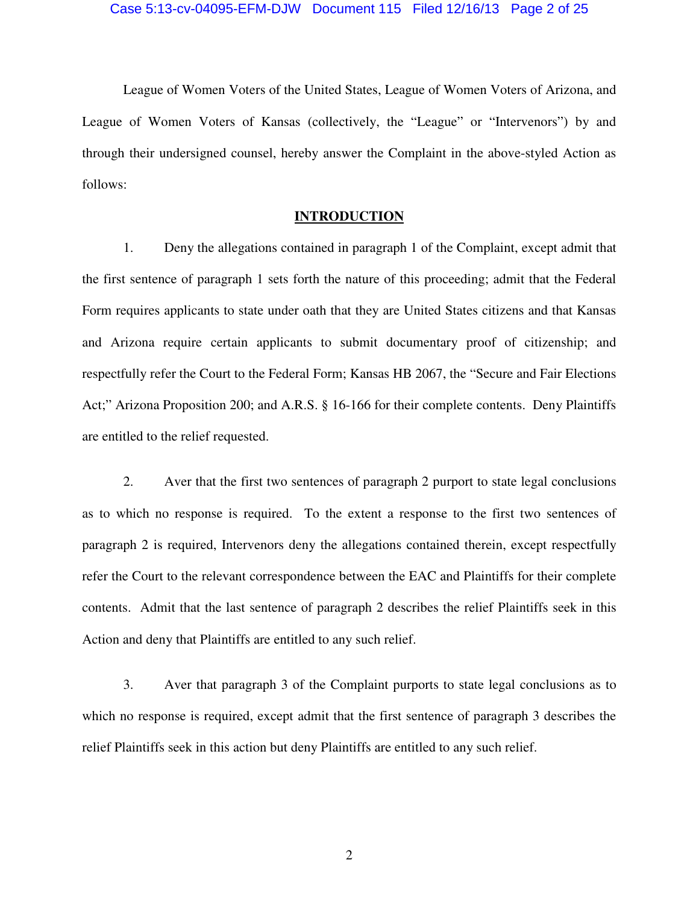League of Women Voters of the United States, League of Women Voters of Arizona, and League of Women Voters of Kansas (collectively, the "League" or "Intervenors") by and through their undersigned counsel, hereby answer the Complaint in the above-styled Action as follows:

# **INTRODUCTION**

1. Deny the allegations contained in paragraph 1 of the Complaint, except admit that the first sentence of paragraph 1 sets forth the nature of this proceeding; admit that the Federal Form requires applicants to state under oath that they are United States citizens and that Kansas and Arizona require certain applicants to submit documentary proof of citizenship; and respectfully refer the Court to the Federal Form; Kansas HB 2067, the "Secure and Fair Elections Act;" Arizona Proposition 200; and A.R.S. § 16-166 for their complete contents. Deny Plaintiffs are entitled to the relief requested.

2. Aver that the first two sentences of paragraph 2 purport to state legal conclusions as to which no response is required. To the extent a response to the first two sentences of paragraph 2 is required, Intervenors deny the allegations contained therein, except respectfully refer the Court to the relevant correspondence between the EAC and Plaintiffs for their complete contents. Admit that the last sentence of paragraph 2 describes the relief Plaintiffs seek in this Action and deny that Plaintiffs are entitled to any such relief.

3. Aver that paragraph 3 of the Complaint purports to state legal conclusions as to which no response is required, except admit that the first sentence of paragraph 3 describes the relief Plaintiffs seek in this action but deny Plaintiffs are entitled to any such relief.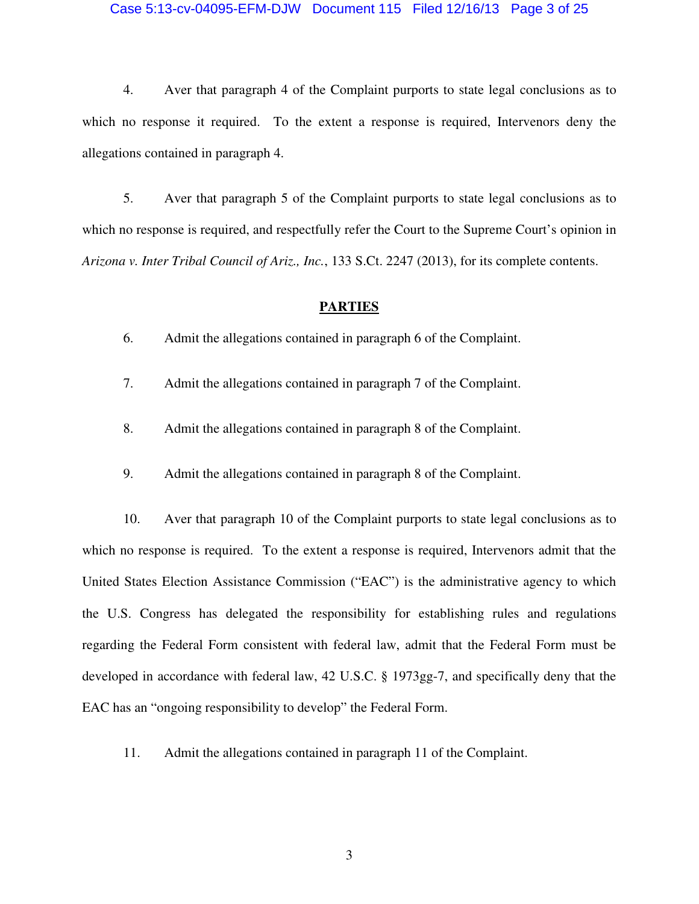#### Case 5:13-cv-04095-EFM-DJW Document 115 Filed 12/16/13 Page 3 of 25

4. Aver that paragraph 4 of the Complaint purports to state legal conclusions as to which no response it required. To the extent a response is required, Intervenors deny the allegations contained in paragraph 4.

5. Aver that paragraph 5 of the Complaint purports to state legal conclusions as to which no response is required, and respectfully refer the Court to the Supreme Court's opinion in *Arizona v. Inter Tribal Council of Ariz., Inc.*, 133 S.Ct. 2247 (2013), for its complete contents.

# **PARTIES**

6. Admit the allegations contained in paragraph 6 of the Complaint.

- 7. Admit the allegations contained in paragraph 7 of the Complaint.
- 8. Admit the allegations contained in paragraph 8 of the Complaint.
- 9. Admit the allegations contained in paragraph 8 of the Complaint.

10. Aver that paragraph 10 of the Complaint purports to state legal conclusions as to which no response is required. To the extent a response is required, Intervenors admit that the United States Election Assistance Commission ("EAC") is the administrative agency to which the U.S. Congress has delegated the responsibility for establishing rules and regulations regarding the Federal Form consistent with federal law, admit that the Federal Form must be developed in accordance with federal law, 42 U.S.C. § 1973gg-7, and specifically deny that the EAC has an "ongoing responsibility to develop" the Federal Form.

11. Admit the allegations contained in paragraph 11 of the Complaint.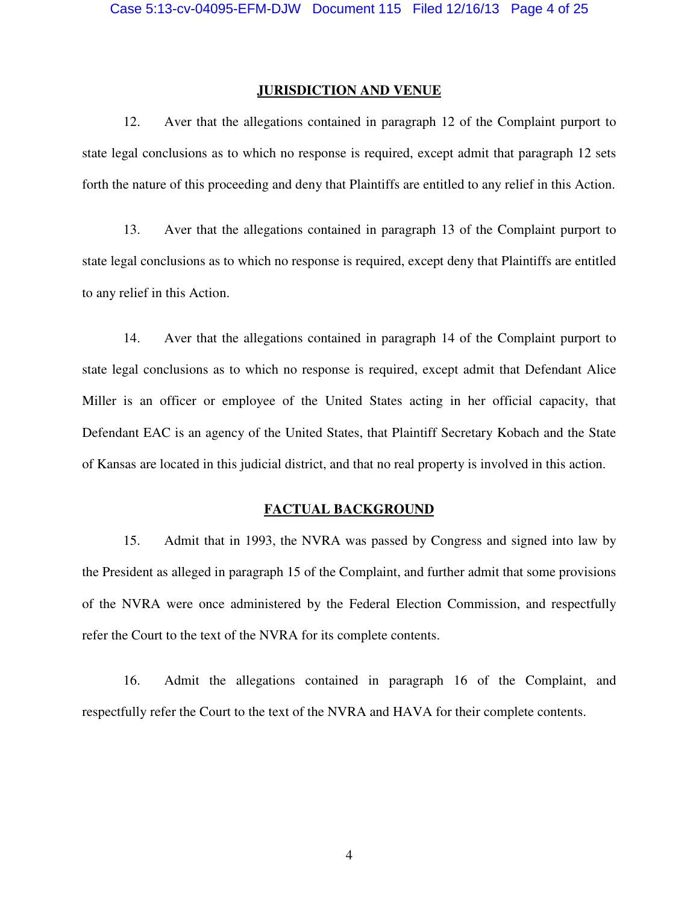### **JURISDICTION AND VENUE**

12. Aver that the allegations contained in paragraph 12 of the Complaint purport to state legal conclusions as to which no response is required, except admit that paragraph 12 sets forth the nature of this proceeding and deny that Plaintiffs are entitled to any relief in this Action.

13. Aver that the allegations contained in paragraph 13 of the Complaint purport to state legal conclusions as to which no response is required, except deny that Plaintiffs are entitled to any relief in this Action.

14. Aver that the allegations contained in paragraph 14 of the Complaint purport to state legal conclusions as to which no response is required, except admit that Defendant Alice Miller is an officer or employee of the United States acting in her official capacity, that Defendant EAC is an agency of the United States, that Plaintiff Secretary Kobach and the State of Kansas are located in this judicial district, and that no real property is involved in this action.

### **FACTUAL BACKGROUND**

15. Admit that in 1993, the NVRA was passed by Congress and signed into law by the President as alleged in paragraph 15 of the Complaint, and further admit that some provisions of the NVRA were once administered by the Federal Election Commission, and respectfully refer the Court to the text of the NVRA for its complete contents.

16. Admit the allegations contained in paragraph 16 of the Complaint, and respectfully refer the Court to the text of the NVRA and HAVA for their complete contents.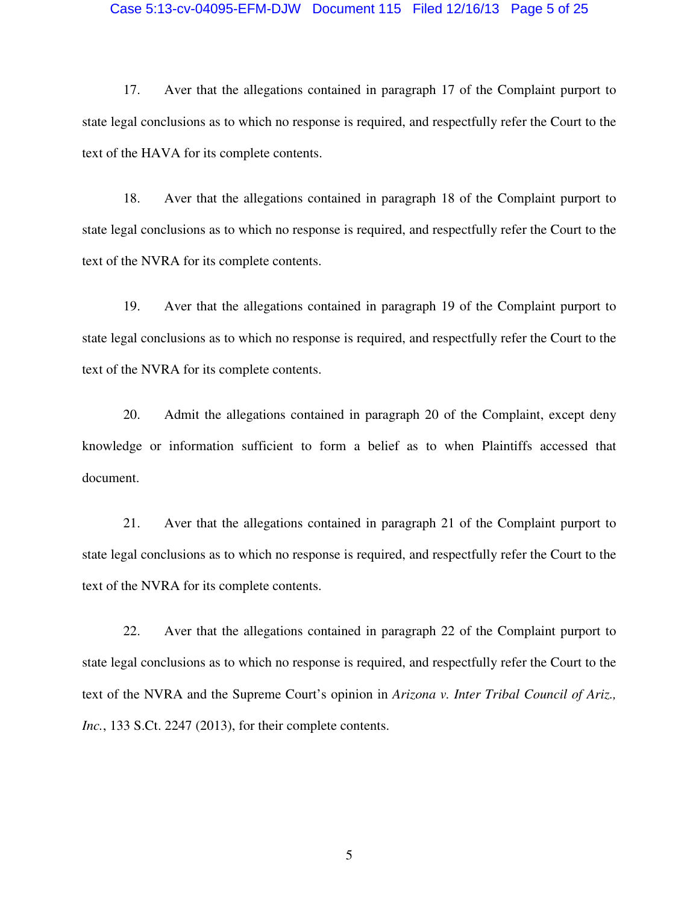#### Case 5:13-cv-04095-EFM-DJW Document 115 Filed 12/16/13 Page 5 of 25

17. Aver that the allegations contained in paragraph 17 of the Complaint purport to state legal conclusions as to which no response is required, and respectfully refer the Court to the text of the HAVA for its complete contents.

18. Aver that the allegations contained in paragraph 18 of the Complaint purport to state legal conclusions as to which no response is required, and respectfully refer the Court to the text of the NVRA for its complete contents.

19. Aver that the allegations contained in paragraph 19 of the Complaint purport to state legal conclusions as to which no response is required, and respectfully refer the Court to the text of the NVRA for its complete contents.

20. Admit the allegations contained in paragraph 20 of the Complaint, except deny knowledge or information sufficient to form a belief as to when Plaintiffs accessed that document.

21. Aver that the allegations contained in paragraph 21 of the Complaint purport to state legal conclusions as to which no response is required, and respectfully refer the Court to the text of the NVRA for its complete contents.

22. Aver that the allegations contained in paragraph 22 of the Complaint purport to state legal conclusions as to which no response is required, and respectfully refer the Court to the text of the NVRA and the Supreme Court's opinion in *Arizona v. Inter Tribal Council of Ariz., Inc.*, 133 S.Ct. 2247 (2013), for their complete contents.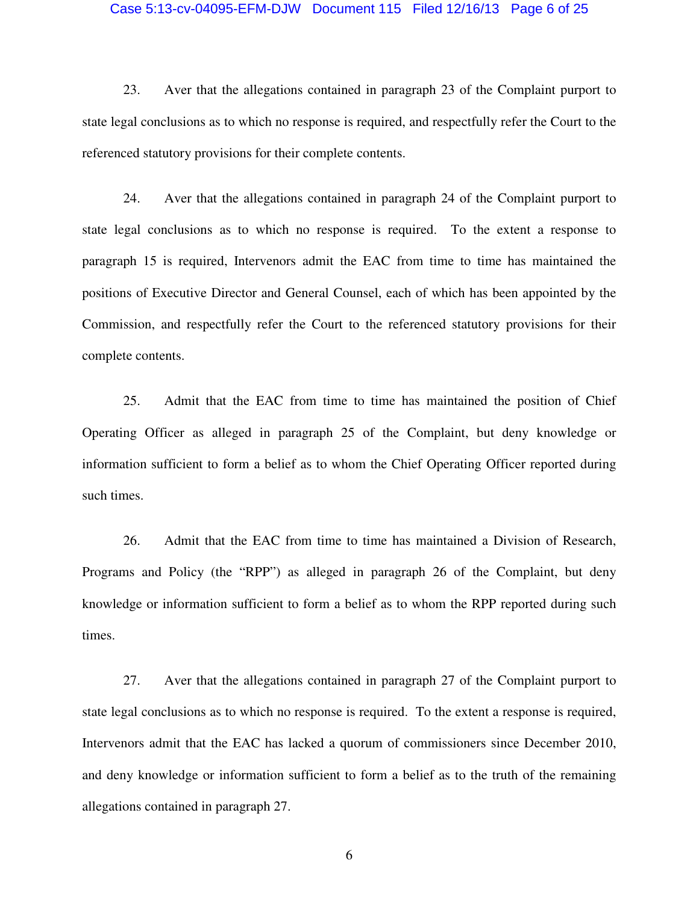#### Case 5:13-cv-04095-EFM-DJW Document 115 Filed 12/16/13 Page 6 of 25

23. Aver that the allegations contained in paragraph 23 of the Complaint purport to state legal conclusions as to which no response is required, and respectfully refer the Court to the referenced statutory provisions for their complete contents.

24. Aver that the allegations contained in paragraph 24 of the Complaint purport to state legal conclusions as to which no response is required. To the extent a response to paragraph 15 is required, Intervenors admit the EAC from time to time has maintained the positions of Executive Director and General Counsel, each of which has been appointed by the Commission, and respectfully refer the Court to the referenced statutory provisions for their complete contents.

25. Admit that the EAC from time to time has maintained the position of Chief Operating Officer as alleged in paragraph 25 of the Complaint, but deny knowledge or information sufficient to form a belief as to whom the Chief Operating Officer reported during such times.

26. Admit that the EAC from time to time has maintained a Division of Research, Programs and Policy (the "RPP") as alleged in paragraph 26 of the Complaint, but deny knowledge or information sufficient to form a belief as to whom the RPP reported during such times.

27. Aver that the allegations contained in paragraph 27 of the Complaint purport to state legal conclusions as to which no response is required. To the extent a response is required, Intervenors admit that the EAC has lacked a quorum of commissioners since December 2010, and deny knowledge or information sufficient to form a belief as to the truth of the remaining allegations contained in paragraph 27.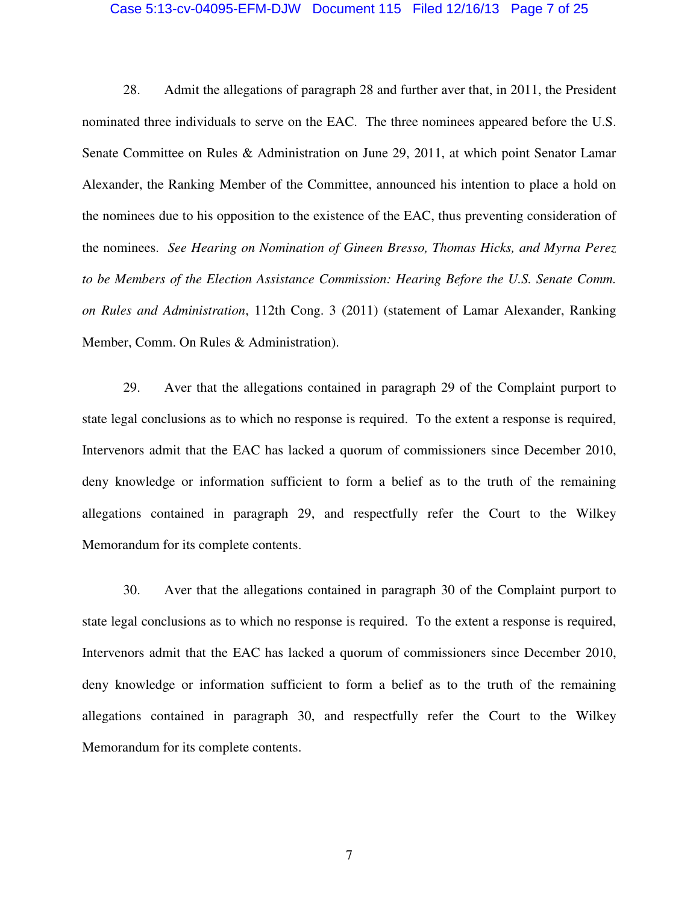#### Case 5:13-cv-04095-EFM-DJW Document 115 Filed 12/16/13 Page 7 of 25

28. Admit the allegations of paragraph 28 and further aver that, in 2011, the President nominated three individuals to serve on the EAC. The three nominees appeared before the U.S. Senate Committee on Rules & Administration on June 29, 2011, at which point Senator Lamar Alexander, the Ranking Member of the Committee, announced his intention to place a hold on the nominees due to his opposition to the existence of the EAC, thus preventing consideration of the nominees. *See Hearing on Nomination of Gineen Bresso, Thomas Hicks, and Myrna Perez to be Members of the Election Assistance Commission: Hearing Before the U.S. Senate Comm. on Rules and Administration*, 112th Cong. 3 (2011) (statement of Lamar Alexander, Ranking Member, Comm. On Rules & Administration).

29. Aver that the allegations contained in paragraph 29 of the Complaint purport to state legal conclusions as to which no response is required. To the extent a response is required, Intervenors admit that the EAC has lacked a quorum of commissioners since December 2010, deny knowledge or information sufficient to form a belief as to the truth of the remaining allegations contained in paragraph 29, and respectfully refer the Court to the Wilkey Memorandum for its complete contents.

30. Aver that the allegations contained in paragraph 30 of the Complaint purport to state legal conclusions as to which no response is required. To the extent a response is required, Intervenors admit that the EAC has lacked a quorum of commissioners since December 2010, deny knowledge or information sufficient to form a belief as to the truth of the remaining allegations contained in paragraph 30, and respectfully refer the Court to the Wilkey Memorandum for its complete contents.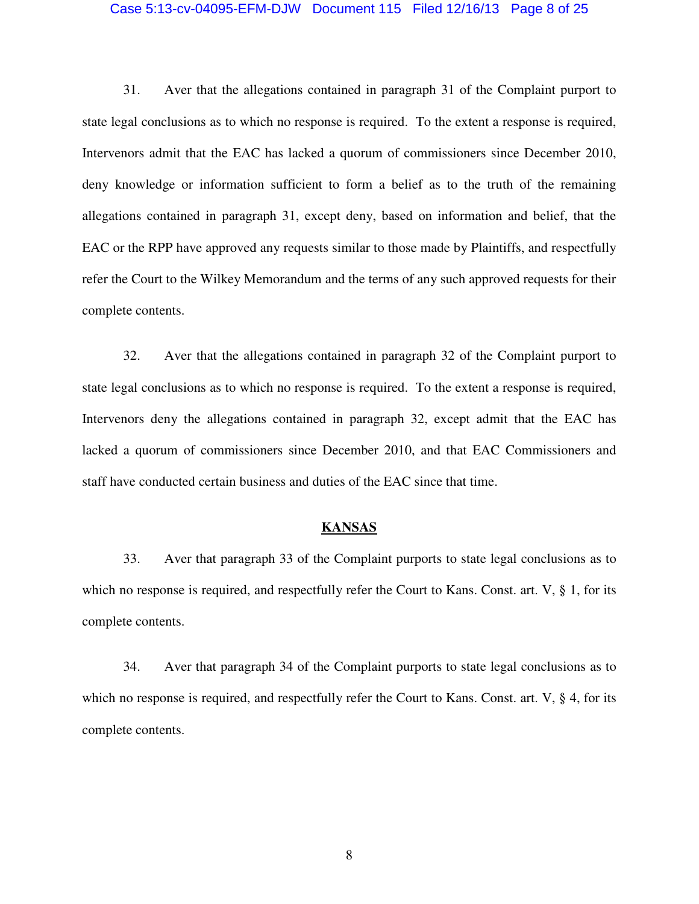#### Case 5:13-cv-04095-EFM-DJW Document 115 Filed 12/16/13 Page 8 of 25

31. Aver that the allegations contained in paragraph 31 of the Complaint purport to state legal conclusions as to which no response is required. To the extent a response is required, Intervenors admit that the EAC has lacked a quorum of commissioners since December 2010, deny knowledge or information sufficient to form a belief as to the truth of the remaining allegations contained in paragraph 31, except deny, based on information and belief, that the EAC or the RPP have approved any requests similar to those made by Plaintiffs, and respectfully refer the Court to the Wilkey Memorandum and the terms of any such approved requests for their complete contents.

32. Aver that the allegations contained in paragraph 32 of the Complaint purport to state legal conclusions as to which no response is required. To the extent a response is required, Intervenors deny the allegations contained in paragraph 32, except admit that the EAC has lacked a quorum of commissioners since December 2010, and that EAC Commissioners and staff have conducted certain business and duties of the EAC since that time.

# **KANSAS**

33. Aver that paragraph 33 of the Complaint purports to state legal conclusions as to which no response is required, and respectfully refer the Court to Kans. Const. art. V, § 1, for its complete contents.

34. Aver that paragraph 34 of the Complaint purports to state legal conclusions as to which no response is required, and respectfully refer the Court to Kans. Const. art.  $V$ ,  $\S$  4, for its complete contents.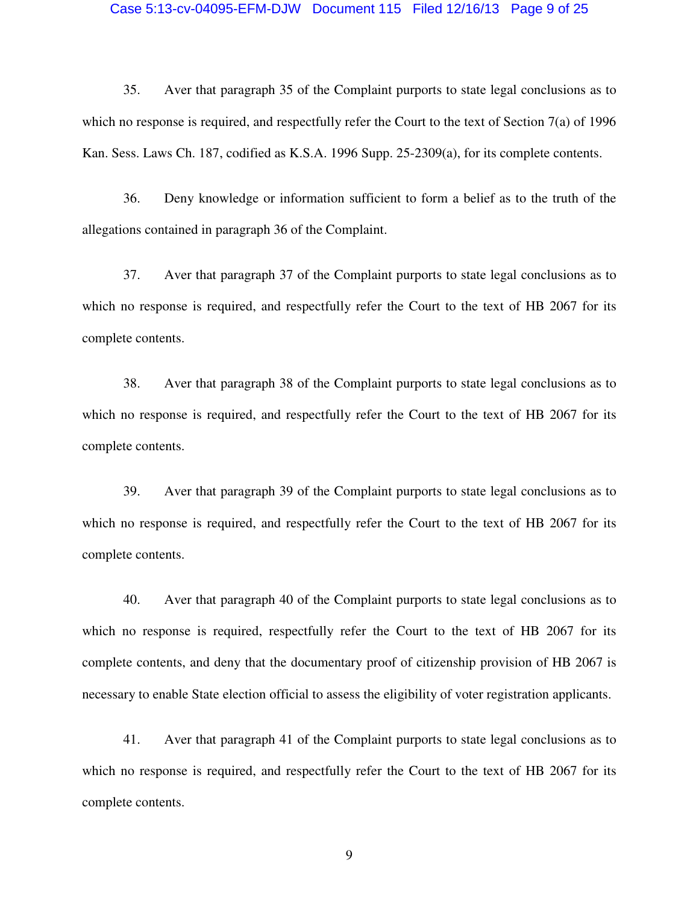#### Case 5:13-cv-04095-EFM-DJW Document 115 Filed 12/16/13 Page 9 of 25

35. Aver that paragraph 35 of the Complaint purports to state legal conclusions as to which no response is required, and respectfully refer the Court to the text of Section 7(a) of 1996 Kan. Sess. Laws Ch. 187, codified as K.S.A. 1996 Supp. 25-2309(a), for its complete contents.

36. Deny knowledge or information sufficient to form a belief as to the truth of the allegations contained in paragraph 36 of the Complaint.

37. Aver that paragraph 37 of the Complaint purports to state legal conclusions as to which no response is required, and respectfully refer the Court to the text of HB 2067 for its complete contents.

38. Aver that paragraph 38 of the Complaint purports to state legal conclusions as to which no response is required, and respectfully refer the Court to the text of HB 2067 for its complete contents.

39. Aver that paragraph 39 of the Complaint purports to state legal conclusions as to which no response is required, and respectfully refer the Court to the text of HB 2067 for its complete contents.

40. Aver that paragraph 40 of the Complaint purports to state legal conclusions as to which no response is required, respectfully refer the Court to the text of HB 2067 for its complete contents, and deny that the documentary proof of citizenship provision of HB 2067 is necessary to enable State election official to assess the eligibility of voter registration applicants.

41. Aver that paragraph 41 of the Complaint purports to state legal conclusions as to which no response is required, and respectfully refer the Court to the text of HB 2067 for its complete contents.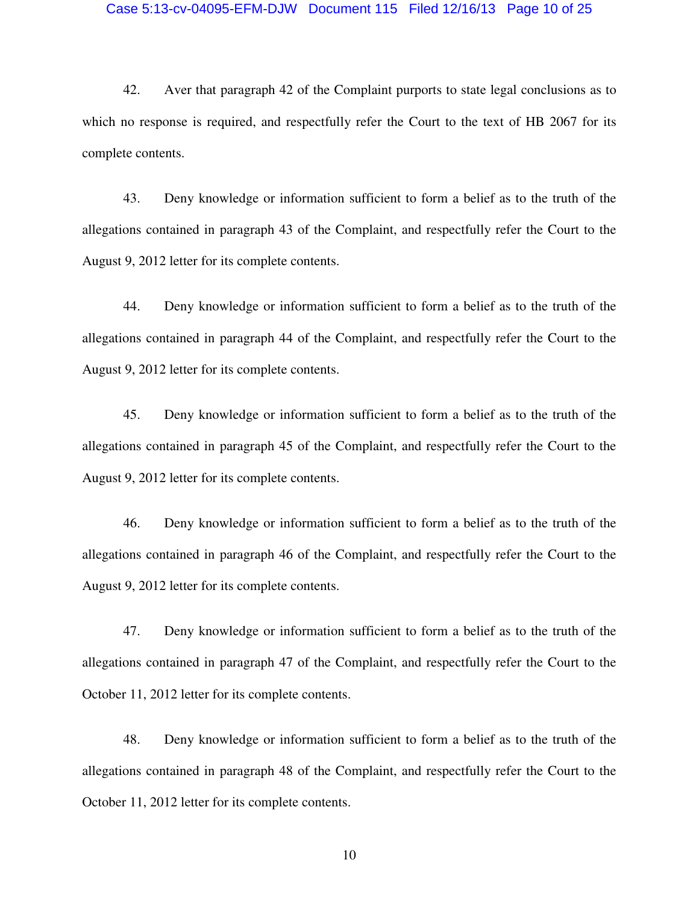#### Case 5:13-cv-04095-EFM-DJW Document 115 Filed 12/16/13 Page 10 of 25

42. Aver that paragraph 42 of the Complaint purports to state legal conclusions as to which no response is required, and respectfully refer the Court to the text of HB 2067 for its complete contents.

43. Deny knowledge or information sufficient to form a belief as to the truth of the allegations contained in paragraph 43 of the Complaint, and respectfully refer the Court to the August 9, 2012 letter for its complete contents.

44. Deny knowledge or information sufficient to form a belief as to the truth of the allegations contained in paragraph 44 of the Complaint, and respectfully refer the Court to the August 9, 2012 letter for its complete contents.

45. Deny knowledge or information sufficient to form a belief as to the truth of the allegations contained in paragraph 45 of the Complaint, and respectfully refer the Court to the August 9, 2012 letter for its complete contents.

46. Deny knowledge or information sufficient to form a belief as to the truth of the allegations contained in paragraph 46 of the Complaint, and respectfully refer the Court to the August 9, 2012 letter for its complete contents.

47. Deny knowledge or information sufficient to form a belief as to the truth of the allegations contained in paragraph 47 of the Complaint, and respectfully refer the Court to the October 11, 2012 letter for its complete contents.

48. Deny knowledge or information sufficient to form a belief as to the truth of the allegations contained in paragraph 48 of the Complaint, and respectfully refer the Court to the October 11, 2012 letter for its complete contents.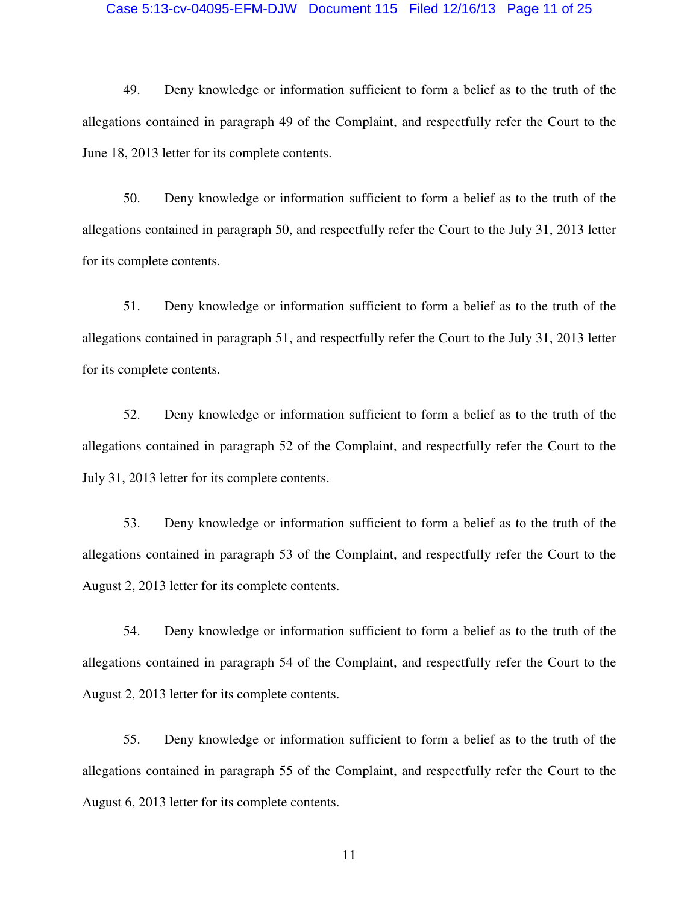#### Case 5:13-cv-04095-EFM-DJW Document 115 Filed 12/16/13 Page 11 of 25

49. Deny knowledge or information sufficient to form a belief as to the truth of the allegations contained in paragraph 49 of the Complaint, and respectfully refer the Court to the June 18, 2013 letter for its complete contents.

50. Deny knowledge or information sufficient to form a belief as to the truth of the allegations contained in paragraph 50, and respectfully refer the Court to the July 31, 2013 letter for its complete contents.

51. Deny knowledge or information sufficient to form a belief as to the truth of the allegations contained in paragraph 51, and respectfully refer the Court to the July 31, 2013 letter for its complete contents.

52. Deny knowledge or information sufficient to form a belief as to the truth of the allegations contained in paragraph 52 of the Complaint, and respectfully refer the Court to the July 31, 2013 letter for its complete contents.

53. Deny knowledge or information sufficient to form a belief as to the truth of the allegations contained in paragraph 53 of the Complaint, and respectfully refer the Court to the August 2, 2013 letter for its complete contents.

54. Deny knowledge or information sufficient to form a belief as to the truth of the allegations contained in paragraph 54 of the Complaint, and respectfully refer the Court to the August 2, 2013 letter for its complete contents.

55. Deny knowledge or information sufficient to form a belief as to the truth of the allegations contained in paragraph 55 of the Complaint, and respectfully refer the Court to the August 6, 2013 letter for its complete contents.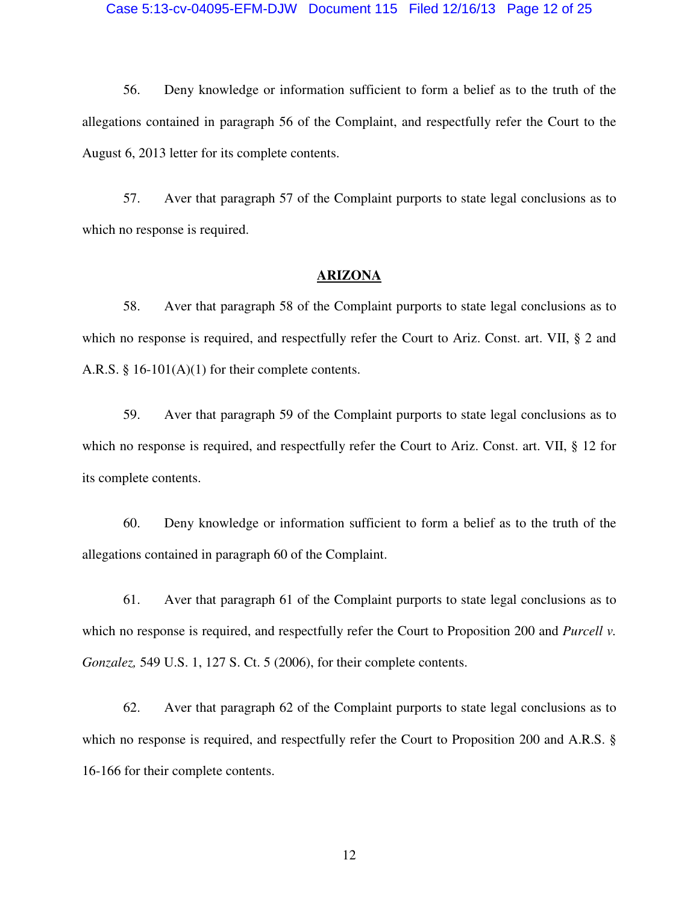#### Case 5:13-cv-04095-EFM-DJW Document 115 Filed 12/16/13 Page 12 of 25

56. Deny knowledge or information sufficient to form a belief as to the truth of the allegations contained in paragraph 56 of the Complaint, and respectfully refer the Court to the August 6, 2013 letter for its complete contents.

57. Aver that paragraph 57 of the Complaint purports to state legal conclusions as to which no response is required.

## **ARIZONA**

58. Aver that paragraph 58 of the Complaint purports to state legal conclusions as to which no response is required, and respectfully refer the Court to Ariz. Const. art. VII, § 2 and A.R.S. § 16-101(A)(1) for their complete contents.

59. Aver that paragraph 59 of the Complaint purports to state legal conclusions as to which no response is required, and respectfully refer the Court to Ariz. Const. art. VII, § 12 for its complete contents.

60. Deny knowledge or information sufficient to form a belief as to the truth of the allegations contained in paragraph 60 of the Complaint.

61. Aver that paragraph 61 of the Complaint purports to state legal conclusions as to which no response is required, and respectfully refer the Court to Proposition 200 and *Purcell v. Gonzalez,* 549 U.S. 1, 127 S. Ct. 5 (2006), for their complete contents.

62. Aver that paragraph 62 of the Complaint purports to state legal conclusions as to which no response is required, and respectfully refer the Court to Proposition 200 and A.R.S. § 16-166 for their complete contents.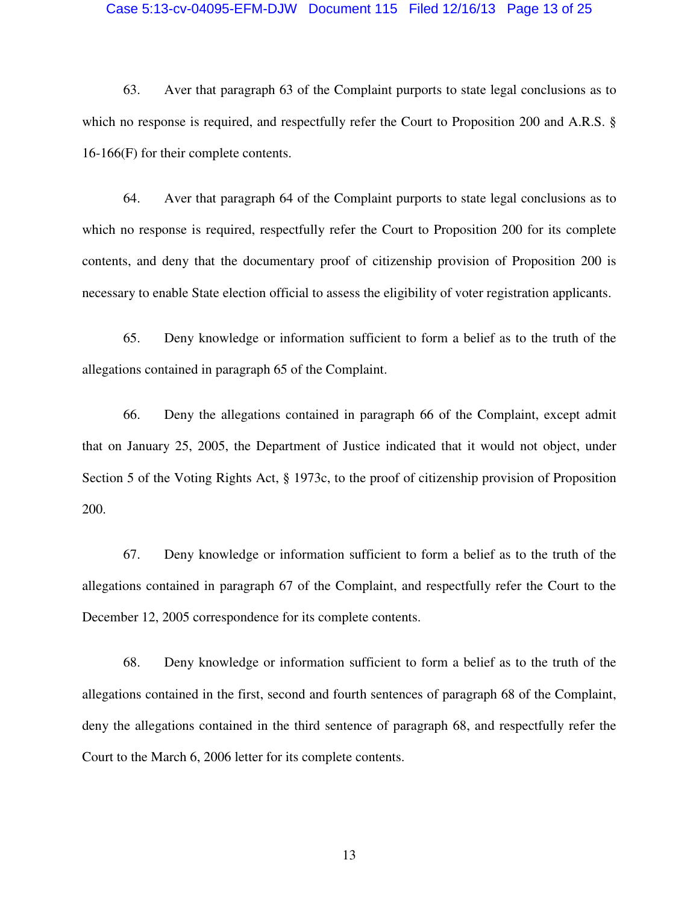#### Case 5:13-cv-04095-EFM-DJW Document 115 Filed 12/16/13 Page 13 of 25

63. Aver that paragraph 63 of the Complaint purports to state legal conclusions as to which no response is required, and respectfully refer the Court to Proposition 200 and A.R.S. § 16-166(F) for their complete contents.

64. Aver that paragraph 64 of the Complaint purports to state legal conclusions as to which no response is required, respectfully refer the Court to Proposition 200 for its complete contents, and deny that the documentary proof of citizenship provision of Proposition 200 is necessary to enable State election official to assess the eligibility of voter registration applicants.

65. Deny knowledge or information sufficient to form a belief as to the truth of the allegations contained in paragraph 65 of the Complaint.

66. Deny the allegations contained in paragraph 66 of the Complaint, except admit that on January 25, 2005, the Department of Justice indicated that it would not object, under Section 5 of the Voting Rights Act, § 1973c, to the proof of citizenship provision of Proposition 200.

67. Deny knowledge or information sufficient to form a belief as to the truth of the allegations contained in paragraph 67 of the Complaint, and respectfully refer the Court to the December 12, 2005 correspondence for its complete contents.

68. Deny knowledge or information sufficient to form a belief as to the truth of the allegations contained in the first, second and fourth sentences of paragraph 68 of the Complaint, deny the allegations contained in the third sentence of paragraph 68, and respectfully refer the Court to the March 6, 2006 letter for its complete contents.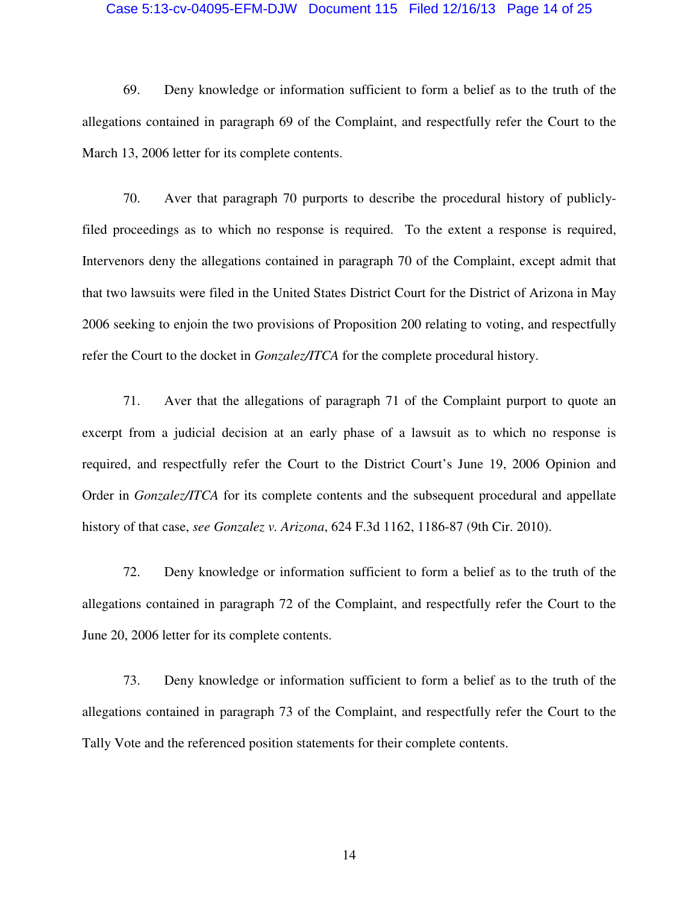#### Case 5:13-cv-04095-EFM-DJW Document 115 Filed 12/16/13 Page 14 of 25

69. Deny knowledge or information sufficient to form a belief as to the truth of the allegations contained in paragraph 69 of the Complaint, and respectfully refer the Court to the March 13, 2006 letter for its complete contents.

70. Aver that paragraph 70 purports to describe the procedural history of publiclyfiled proceedings as to which no response is required. To the extent a response is required, Intervenors deny the allegations contained in paragraph 70 of the Complaint, except admit that that two lawsuits were filed in the United States District Court for the District of Arizona in May 2006 seeking to enjoin the two provisions of Proposition 200 relating to voting, and respectfully refer the Court to the docket in *Gonzalez/ITCA* for the complete procedural history.

71. Aver that the allegations of paragraph 71 of the Complaint purport to quote an excerpt from a judicial decision at an early phase of a lawsuit as to which no response is required, and respectfully refer the Court to the District Court's June 19, 2006 Opinion and Order in *Gonzalez/ITCA* for its complete contents and the subsequent procedural and appellate history of that case, *see Gonzalez v. Arizona*, 624 F.3d 1162, 1186-87 (9th Cir. 2010).

72. Deny knowledge or information sufficient to form a belief as to the truth of the allegations contained in paragraph 72 of the Complaint, and respectfully refer the Court to the June 20, 2006 letter for its complete contents.

73. Deny knowledge or information sufficient to form a belief as to the truth of the allegations contained in paragraph 73 of the Complaint, and respectfully refer the Court to the Tally Vote and the referenced position statements for their complete contents.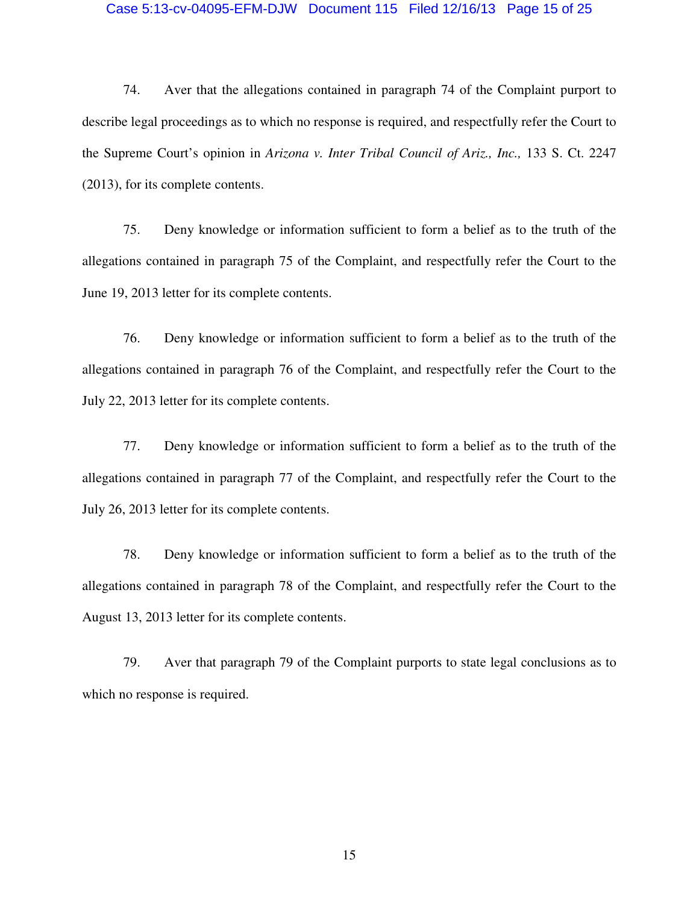#### Case 5:13-cv-04095-EFM-DJW Document 115 Filed 12/16/13 Page 15 of 25

74. Aver that the allegations contained in paragraph 74 of the Complaint purport to describe legal proceedings as to which no response is required, and respectfully refer the Court to the Supreme Court's opinion in *Arizona v. Inter Tribal Council of Ariz., Inc.,* 133 S. Ct. 2247 (2013), for its complete contents.

75. Deny knowledge or information sufficient to form a belief as to the truth of the allegations contained in paragraph 75 of the Complaint, and respectfully refer the Court to the June 19, 2013 letter for its complete contents.

76. Deny knowledge or information sufficient to form a belief as to the truth of the allegations contained in paragraph 76 of the Complaint, and respectfully refer the Court to the July 22, 2013 letter for its complete contents.

77. Deny knowledge or information sufficient to form a belief as to the truth of the allegations contained in paragraph 77 of the Complaint, and respectfully refer the Court to the July 26, 2013 letter for its complete contents.

78. Deny knowledge or information sufficient to form a belief as to the truth of the allegations contained in paragraph 78 of the Complaint, and respectfully refer the Court to the August 13, 2013 letter for its complete contents.

79. Aver that paragraph 79 of the Complaint purports to state legal conclusions as to which no response is required.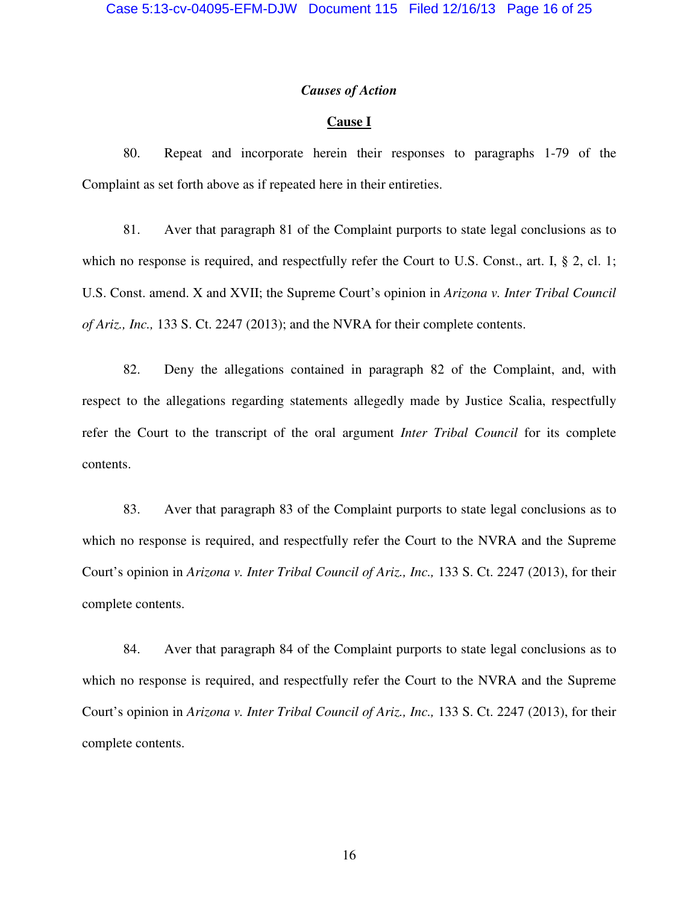### *Causes of Action*

# **Cause I**

80. Repeat and incorporate herein their responses to paragraphs 1-79 of the Complaint as set forth above as if repeated here in their entireties.

81. Aver that paragraph 81 of the Complaint purports to state legal conclusions as to which no response is required, and respectfully refer the Court to U.S. Const., art. I, § 2, cl. 1; U.S. Const. amend. X and XVII; the Supreme Court's opinion in *Arizona v. Inter Tribal Council of Ariz., Inc.,* 133 S. Ct. 2247 (2013); and the NVRA for their complete contents.

82. Deny the allegations contained in paragraph 82 of the Complaint, and, with respect to the allegations regarding statements allegedly made by Justice Scalia, respectfully refer the Court to the transcript of the oral argument *Inter Tribal Council* for its complete contents.

83. Aver that paragraph 83 of the Complaint purports to state legal conclusions as to which no response is required, and respectfully refer the Court to the NVRA and the Supreme Court's opinion in *Arizona v. Inter Tribal Council of Ariz., Inc.,* 133 S. Ct. 2247 (2013), for their complete contents.

84. Aver that paragraph 84 of the Complaint purports to state legal conclusions as to which no response is required, and respectfully refer the Court to the NVRA and the Supreme Court's opinion in *Arizona v. Inter Tribal Council of Ariz., Inc.,* 133 S. Ct. 2247 (2013), for their complete contents.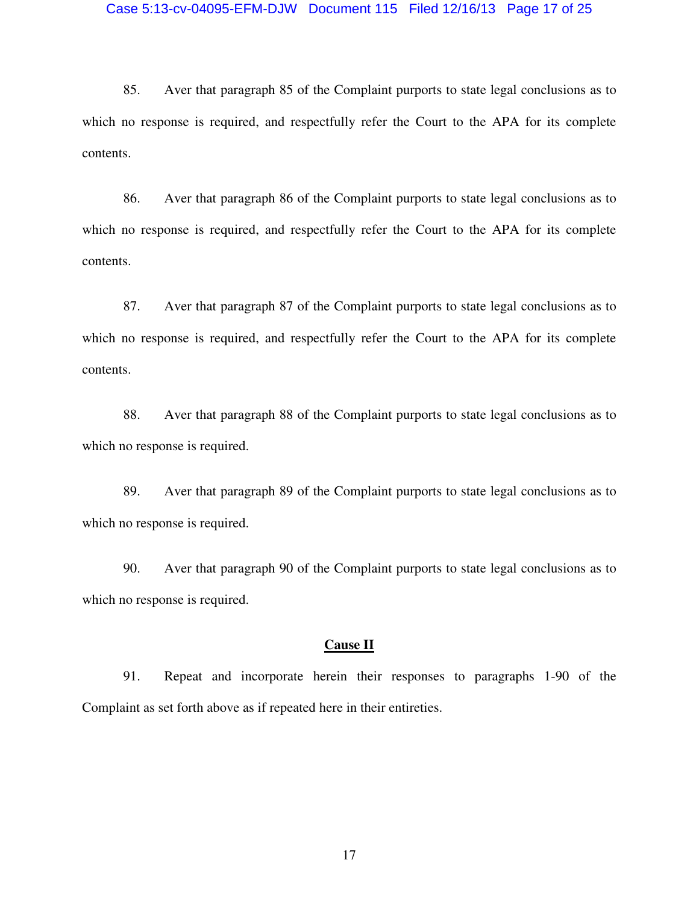#### Case 5:13-cv-04095-EFM-DJW Document 115 Filed 12/16/13 Page 17 of 25

85. Aver that paragraph 85 of the Complaint purports to state legal conclusions as to which no response is required, and respectfully refer the Court to the APA for its complete contents.

86. Aver that paragraph 86 of the Complaint purports to state legal conclusions as to which no response is required, and respectfully refer the Court to the APA for its complete contents.

87. Aver that paragraph 87 of the Complaint purports to state legal conclusions as to which no response is required, and respectfully refer the Court to the APA for its complete contents.

88. Aver that paragraph 88 of the Complaint purports to state legal conclusions as to which no response is required.

89. Aver that paragraph 89 of the Complaint purports to state legal conclusions as to which no response is required.

90. Aver that paragraph 90 of the Complaint purports to state legal conclusions as to which no response is required.

## **Cause II**

91. Repeat and incorporate herein their responses to paragraphs 1-90 of the Complaint as set forth above as if repeated here in their entireties.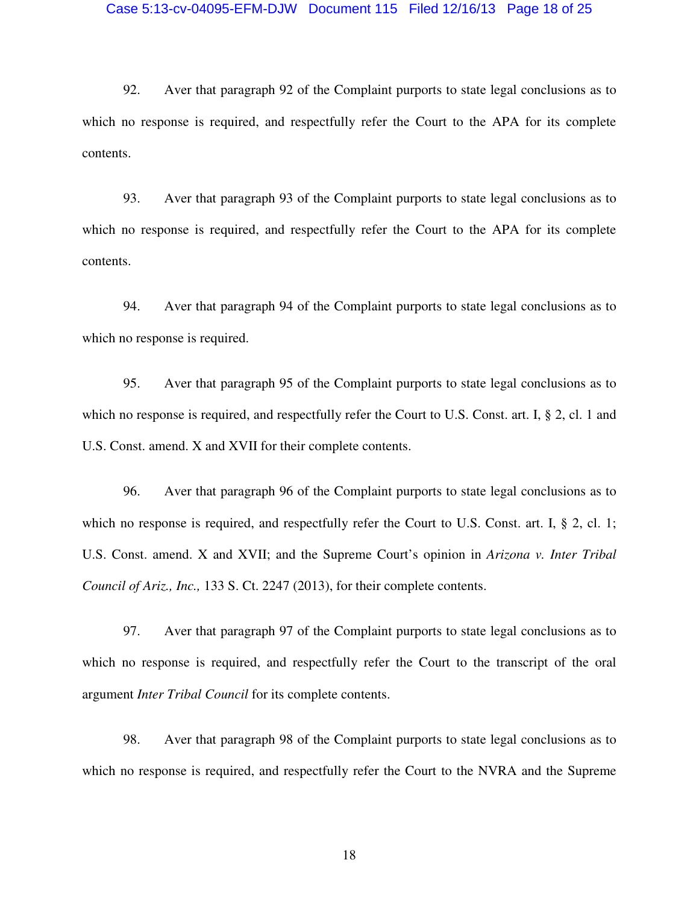#### Case 5:13-cv-04095-EFM-DJW Document 115 Filed 12/16/13 Page 18 of 25

92. Aver that paragraph 92 of the Complaint purports to state legal conclusions as to which no response is required, and respectfully refer the Court to the APA for its complete contents.

93. Aver that paragraph 93 of the Complaint purports to state legal conclusions as to which no response is required, and respectfully refer the Court to the APA for its complete contents.

94. Aver that paragraph 94 of the Complaint purports to state legal conclusions as to which no response is required.

95. Aver that paragraph 95 of the Complaint purports to state legal conclusions as to which no response is required, and respectfully refer the Court to U.S. Const. art. I, § 2, cl. 1 and U.S. Const. amend. X and XVII for their complete contents.

96. Aver that paragraph 96 of the Complaint purports to state legal conclusions as to which no response is required, and respectfully refer the Court to U.S. Const. art. I, § 2, cl. 1; U.S. Const. amend. X and XVII; and the Supreme Court's opinion in *Arizona v. Inter Tribal Council of Ariz., Inc.,* 133 S. Ct. 2247 (2013), for their complete contents.

97. Aver that paragraph 97 of the Complaint purports to state legal conclusions as to which no response is required, and respectfully refer the Court to the transcript of the oral argument *Inter Tribal Council* for its complete contents.

98. Aver that paragraph 98 of the Complaint purports to state legal conclusions as to which no response is required, and respectfully refer the Court to the NVRA and the Supreme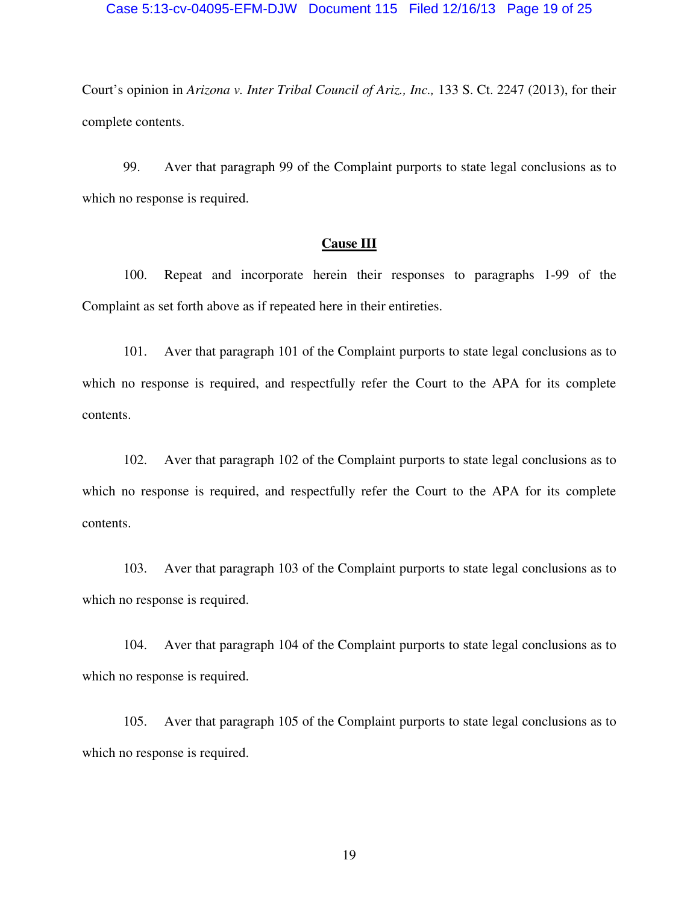#### Case 5:13-cv-04095-EFM-DJW Document 115 Filed 12/16/13 Page 19 of 25

Court's opinion in *Arizona v. Inter Tribal Council of Ariz., Inc.,* 133 S. Ct. 2247 (2013), for their complete contents.

99. Aver that paragraph 99 of the Complaint purports to state legal conclusions as to which no response is required.

## **Cause III**

100. Repeat and incorporate herein their responses to paragraphs 1-99 of the Complaint as set forth above as if repeated here in their entireties.

101. Aver that paragraph 101 of the Complaint purports to state legal conclusions as to which no response is required, and respectfully refer the Court to the APA for its complete contents.

102. Aver that paragraph 102 of the Complaint purports to state legal conclusions as to which no response is required, and respectfully refer the Court to the APA for its complete contents.

103. Aver that paragraph 103 of the Complaint purports to state legal conclusions as to which no response is required.

104. Aver that paragraph 104 of the Complaint purports to state legal conclusions as to which no response is required.

105. Aver that paragraph 105 of the Complaint purports to state legal conclusions as to which no response is required.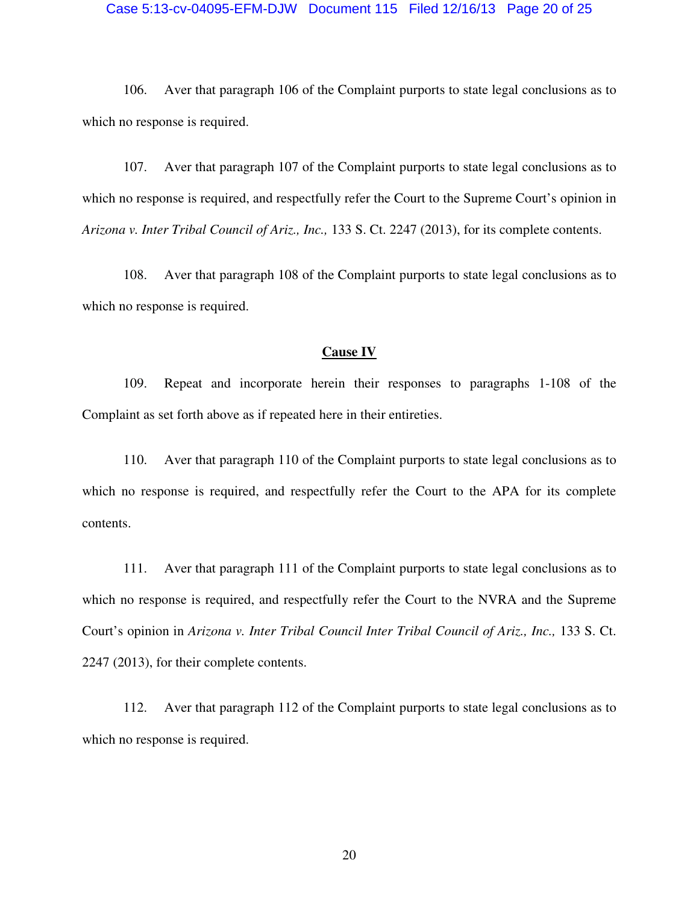#### Case 5:13-cv-04095-EFM-DJW Document 115 Filed 12/16/13 Page 20 of 25

106. Aver that paragraph 106 of the Complaint purports to state legal conclusions as to which no response is required.

107. Aver that paragraph 107 of the Complaint purports to state legal conclusions as to which no response is required, and respectfully refer the Court to the Supreme Court's opinion in *Arizona v. Inter Tribal Council of Ariz., Inc.,* 133 S. Ct. 2247 (2013), for its complete contents.

108. Aver that paragraph 108 of the Complaint purports to state legal conclusions as to which no response is required.

## **Cause IV**

109. Repeat and incorporate herein their responses to paragraphs 1-108 of the Complaint as set forth above as if repeated here in their entireties.

110. Aver that paragraph 110 of the Complaint purports to state legal conclusions as to which no response is required, and respectfully refer the Court to the APA for its complete contents.

111. Aver that paragraph 111 of the Complaint purports to state legal conclusions as to which no response is required, and respectfully refer the Court to the NVRA and the Supreme Court's opinion in *Arizona v. Inter Tribal Council Inter Tribal Council of Ariz., Inc., 133 S. Ct.* 2247 (2013), for their complete contents.

112. Aver that paragraph 112 of the Complaint purports to state legal conclusions as to which no response is required.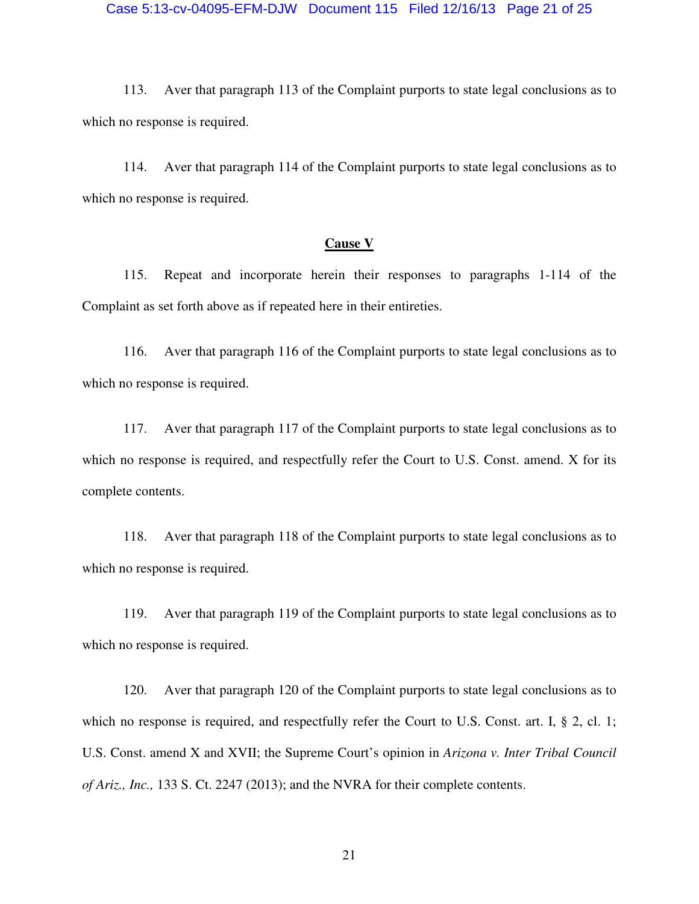#### Case 5:13-cv-04095-EFM-DJW Document 115 Filed 12/16/13 Page 21 of 25

113. Aver that paragraph 113 of the Complaint purports to state legal conclusions as to which no response is required.

114. Aver that paragraph 114 of the Complaint purports to state legal conclusions as to which no response is required.

## **Cause V**

115. Repeat and incorporate herein their responses to paragraphs 1-114 of the Complaint as set forth above as if repeated here in their entireties.

116. Aver that paragraph 116 of the Complaint purports to state legal conclusions as to which no response is required.

117. Aver that paragraph 117 of the Complaint purports to state legal conclusions as to which no response is required, and respectfully refer the Court to U.S. Const. amend. X for its complete contents.

118. Aver that paragraph 118 of the Complaint purports to state legal conclusions as to which no response is required.

119. Aver that paragraph 119 of the Complaint purports to state legal conclusions as to which no response is required.

120. Aver that paragraph 120 of the Complaint purports to state legal conclusions as to which no response is required, and respectfully refer the Court to U.S. Const. art. I, § 2, cl. 1; U.S. Const. amend X and XVII; the Supreme Court's opinion in *Arizona v. Inter Tribal Council of Ariz., Inc.,* 133 S. Ct. 2247 (2013); and the NVRA for their complete contents.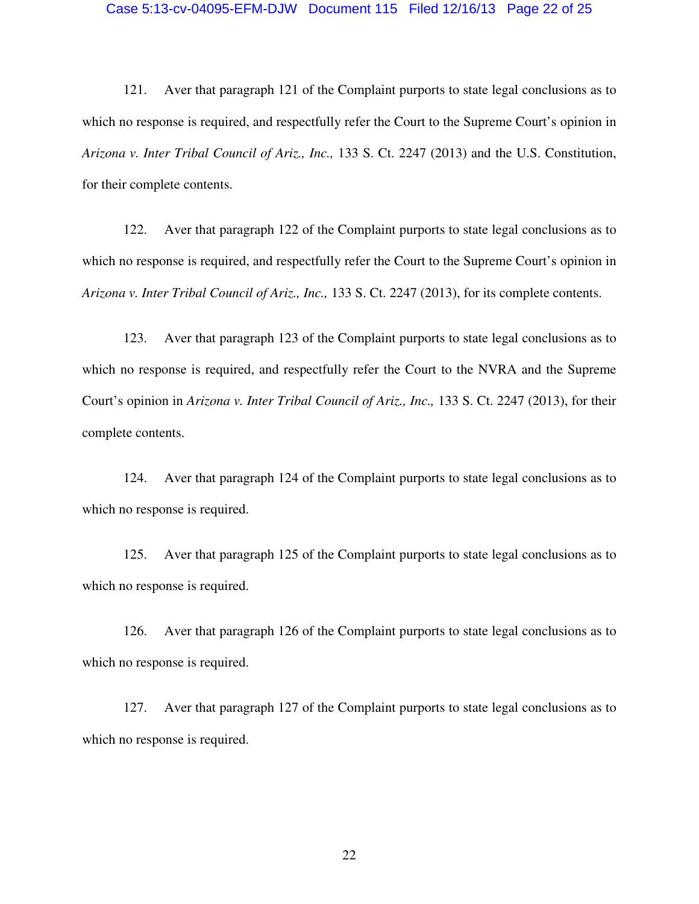#### Case 5:13-cv-04095-EFM-DJW Document 115 Filed 12/16/13 Page 22 of 25

121. Aver that paragraph 121 of the Complaint purports to state legal conclusions as to which no response is required, and respectfully refer the Court to the Supreme Court's opinion in *Arizona v. Inter Tribal Council of Ariz., Inc.,* 133 S. Ct. 2247 (2013) and the U.S. Constitution, for their complete contents.

122. Aver that paragraph 122 of the Complaint purports to state legal conclusions as to which no response is required, and respectfully refer the Court to the Supreme Court's opinion in *Arizona v. Inter Tribal Council of Ariz., Inc.,* 133 S. Ct. 2247 (2013), for its complete contents.

123. Aver that paragraph 123 of the Complaint purports to state legal conclusions as to which no response is required, and respectfully refer the Court to the NVRA and the Supreme Court's opinion in *Arizona v. Inter Tribal Council of Ariz., Inc.,* 133 S. Ct. 2247 (2013), for their complete contents.

124. Aver that paragraph 124 of the Complaint purports to state legal conclusions as to which no response is required.

125. Aver that paragraph 125 of the Complaint purports to state legal conclusions as to which no response is required.

126. Aver that paragraph 126 of the Complaint purports to state legal conclusions as to which no response is required.

127. Aver that paragraph 127 of the Complaint purports to state legal conclusions as to which no response is required.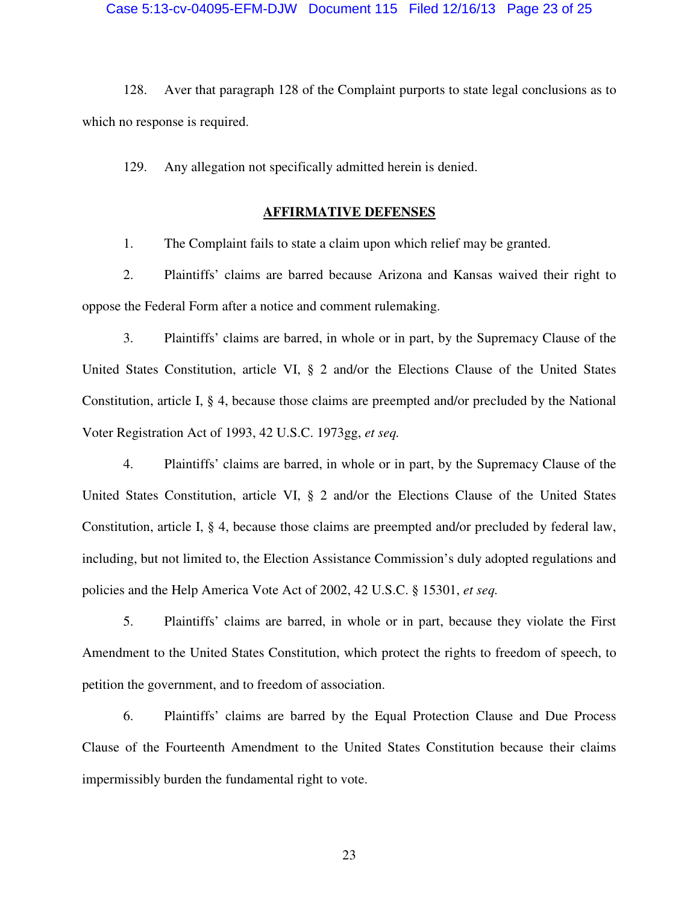128. Aver that paragraph 128 of the Complaint purports to state legal conclusions as to which no response is required.

129. Any allegation not specifically admitted herein is denied.

# **AFFIRMATIVE DEFENSES**

1. The Complaint fails to state a claim upon which relief may be granted.

2. Plaintiffs' claims are barred because Arizona and Kansas waived their right to oppose the Federal Form after a notice and comment rulemaking.

3. Plaintiffs' claims are barred, in whole or in part, by the Supremacy Clause of the United States Constitution, article VI, § 2 and/or the Elections Clause of the United States Constitution, article I, § 4, because those claims are preempted and/or precluded by the National Voter Registration Act of 1993, 42 U.S.C. 1973gg, *et seq.*

4. Plaintiffs' claims are barred, in whole or in part, by the Supremacy Clause of the United States Constitution, article VI, § 2 and/or the Elections Clause of the United States Constitution, article I, § 4, because those claims are preempted and/or precluded by federal law, including, but not limited to, the Election Assistance Commission's duly adopted regulations and policies and the Help America Vote Act of 2002, 42 U.S.C. § 15301, *et seq.*

5. Plaintiffs' claims are barred, in whole or in part, because they violate the First Amendment to the United States Constitution, which protect the rights to freedom of speech, to petition the government, and to freedom of association.

6. Plaintiffs' claims are barred by the Equal Protection Clause and Due Process Clause of the Fourteenth Amendment to the United States Constitution because their claims impermissibly burden the fundamental right to vote.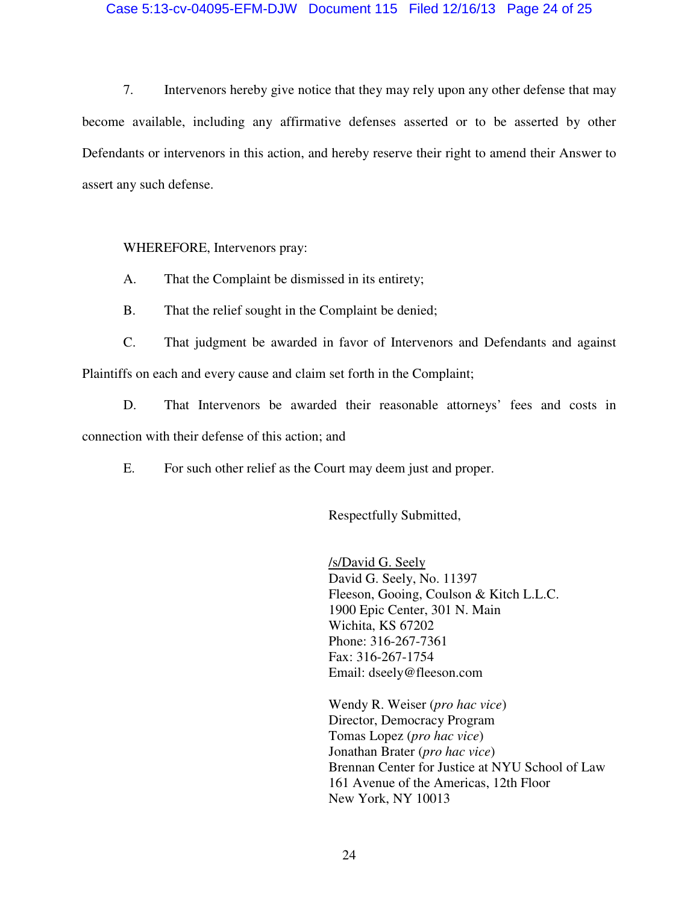# Case 5:13-cv-04095-EFM-DJW Document 115 Filed 12/16/13 Page 24 of 25

7. Intervenors hereby give notice that they may rely upon any other defense that may become available, including any affirmative defenses asserted or to be asserted by other Defendants or intervenors in this action, and hereby reserve their right to amend their Answer to assert any such defense.

WHEREFORE, Intervenors pray:

A. That the Complaint be dismissed in its entirety;

B. That the relief sought in the Complaint be denied;

C. That judgment be awarded in favor of Intervenors and Defendants and against Plaintiffs on each and every cause and claim set forth in the Complaint;

D. That Intervenors be awarded their reasonable attorneys' fees and costs in connection with their defense of this action; and

E. For such other relief as the Court may deem just and proper.

Respectfully Submitted,

/s/David G. Seely David G. Seely, No. 11397 Fleeson, Gooing, Coulson & Kitch L.L.C. 1900 Epic Center, 301 N. Main Wichita, KS 67202 Phone: 316-267-7361 Fax: 316-267-1754 Email: dseely@fleeson.com

Wendy R. Weiser (*pro hac vice*) Director, Democracy Program Tomas Lopez (*pro hac vice*) Jonathan Brater (*pro hac vice*) Brennan Center for Justice at NYU School of Law 161 Avenue of the Americas, 12th Floor New York, NY 10013